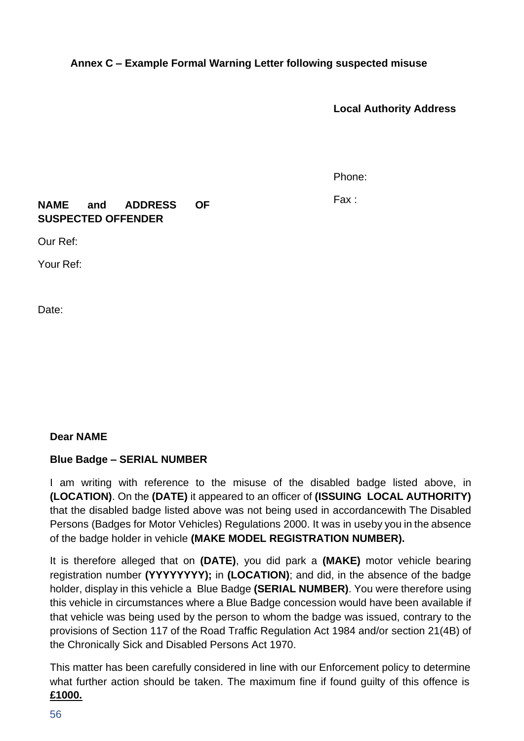## **Annex C – Example Formal Warning Letter following suspected misuse**

**Local Authority Address**

Phone:

Fax :

## **NAME and ADDRESS OF SUSPECTED OFFENDER**

Our Ref:

Your Ref:

Date:

## **Dear NAME**

## **Blue Badge – SERIAL NUMBER**

I am writing with reference to the misuse of the disabled badge listed above, in **(LOCATION)**. On the **(DATE)** it appeared to an officer of **(ISSUING LOCAL AUTHORITY)** that the disabled badge listed above was not being used in accordancewith The Disabled Persons (Badges for Motor Vehicles) Regulations 2000. It was in useby you in the absence of the badge holder in vehicle **(MAKE MODEL REGISTRATION NUMBER).**

It is therefore alleged that on **(DATE)**, you did park a **(MAKE)** motor vehicle bearing registration number **(YYYYYYYY);** in **(LOCATION)**; and did, in the absence of the badge holder, display in this vehicle a Blue Badge **(SERIAL NUMBER)**. You were therefore using this vehicle in circumstances where a Blue Badge concession would have been available if that vehicle was being used by the person to whom the badge was issued, contrary to the provisions of Section 117 of the Road Traffic Regulation Act 1984 and/or section 21(4B) of the Chronically Sick and Disabled Persons Act 1970.

This matter has been carefully considered in line with our Enforcement policy to determine what further action should be taken. The maximum fine if found guilty of this offence is **£1000.**